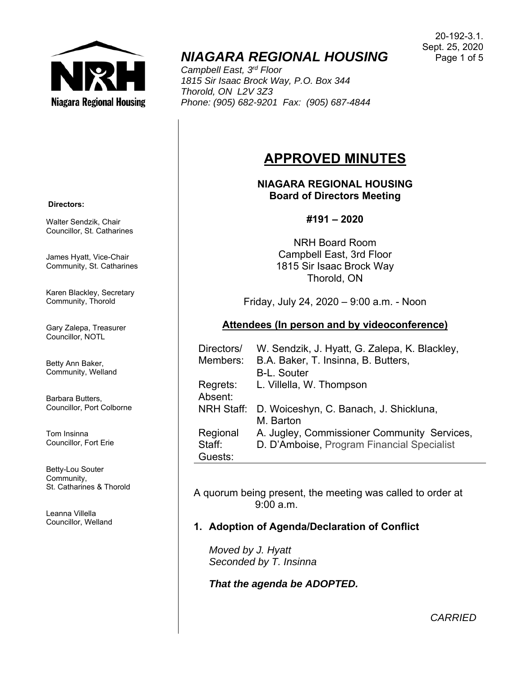

# *NIAGARA REGIONAL HOUSING*

*Campbell East, 3rd Floor 1815 Sir Isaac Brock Way, P.O. Box 344 Thorold, ON L2V 3Z3 Phone: (905) 682-9201 Fax: (905) 687-4844* 

#### 20-192-3.1. Sept. 25, 2020 Page 1 of 5

## **APPROVED MINUTES**

**NIAGARA REGIONAL HOUSING Board of Directors Meeting** 

#### **#191 – 2020**

NRH Board Room Campbell East, 3rd Floor 1815 Sir Isaac Brock Way Thorold, ON

Friday, July 24, 2020 – 9:00 a.m. - Noon

#### **Attendees (In person and by videoconference)**

| Directors/        | W. Sendzik, J. Hyatt, G. Zalepa, K. Blackley, |
|-------------------|-----------------------------------------------|
| Members:          | B.A. Baker, T. Insinna, B. Butters,           |
|                   | <b>B-L. Souter</b>                            |
| Regrets:          | L. Villella, W. Thompson                      |
| Absent:           |                                               |
| <b>NRH Staff:</b> | D. Woiceshyn, C. Banach, J. Shickluna,        |
|                   | M. Barton                                     |
| Regional          | A. Jugley, Commissioner Community Services,   |
| Staff:            | D. D'Amboise, Program Financial Specialist    |
| Guests:           |                                               |

A quorum being present, the meeting was called to order at 9:00 a.m.

## **1. Adoption of Agenda/Declaration of Conflict**

*Moved by J. Hyatt Seconded by T. Insinna* 

*That the agenda be ADOPTED.* 

 **Directors:** 

Walter Sendzik, Chair Councillor, St. Catharines

James Hyatt, Vice-Chair Community, St. Catharines

Karen Blackley, Secretary Community, Thorold

Gary Zalepa, Treasurer Councillor, NOTL

Betty Ann Baker, Community, Welland

Barbara Butters, Councillor, Port Colborne

Tom Insinna Councillor, Fort Erie

Betty-Lou Souter Community, St. Catharines & Thorold

Leanna Villella Councillor, Welland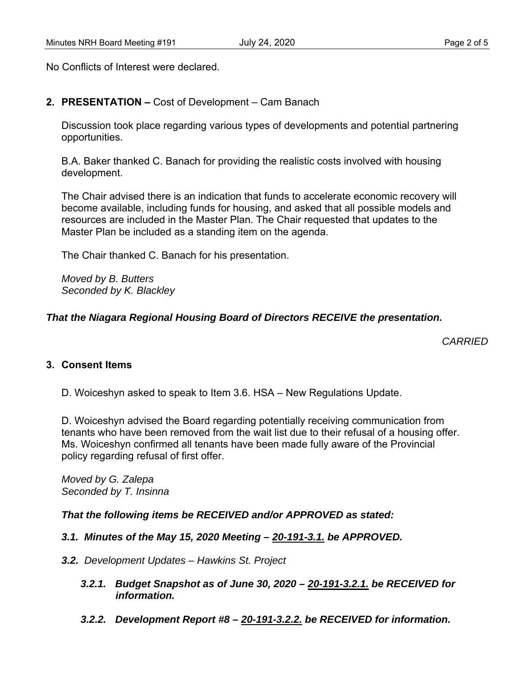No Conflicts of Interest were declared.

#### **2. PRESENTATION –** Cost of Development – Cam Banach

Discussion took place regarding various types of developments and potential partnering opportunities.

B.A. Baker thanked C. Banach for providing the realistic costs involved with housing development.

The Chair advised there is an indication that funds to accelerate economic recovery will become available, including funds for housing, and asked that all possible models and resources are included in the Master Plan. The Chair requested that updates to the Master Plan be included as a standing item on the agenda.

The Chair thanked C. Banach for his presentation.

*Moved by B. Butters Seconded by K. Blackley* 

#### *That the Niagara Regional Housing Board of Directors RECEIVE the presentation.*

*CARRIED* 

#### **3. Consent Items**

D. Woiceshyn asked to speak to Item 3.6. HSA – New Regulations Update.

D. Woiceshyn advised the Board regarding potentially receiving communication from tenants who have been removed from the wait list due to their refusal of a housing offer. Ms. Woiceshyn confirmed all tenants have been made fully aware of the Provincial policy regarding refusal of first offer.

*Moved by G. Zalepa Seconded by T. Insinna* 

#### *That the following items be RECEIVED and/or APPROVED as stated:*

- *3.1. Minutes of the May 15, 2020 Meeting 20-191-3.1. be APPROVED.*
- *3.2. Development Updates Hawkins St. Project* 
	- *3.2.1. Budget Snapshot as of June 30, 2020 20-191-3.2.1. be RECEIVED for information.*
	- *3.2.2. Development Report #8 20-191-3.2.2. be RECEIVED for information.*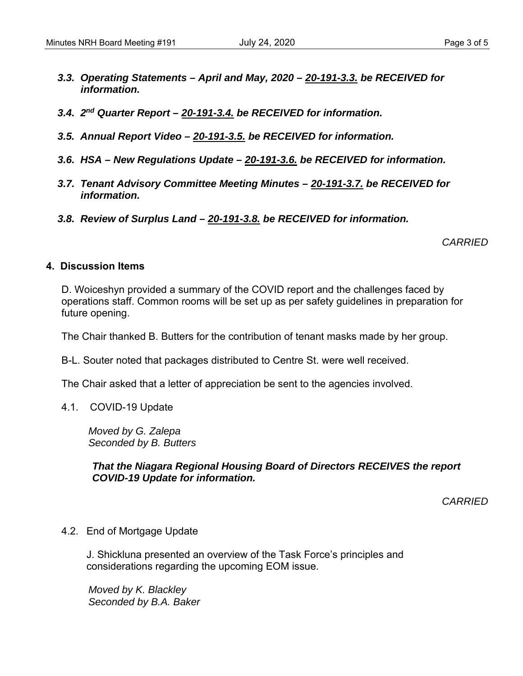- *3.3. Operating Statements April and May, 2020 20-191-3.3. be RECEIVED for information.*
- *3.4. 2nd Quarter Report 20-191-3.4. be RECEIVED for information.*
- *3.5. Annual Report Video 20-191-3.5. be RECEIVED for information.*
- *3.6. HSA New Regulations Update 20-191-3.6. be RECEIVED for information.*
- *3.7. Tenant Advisory Committee Meeting Minutes 20-191-3.7. be RECEIVED for information.*
- *3.8. Review of Surplus Land 20-191-3.8. be RECEIVED for information.*

*CARRIED* 

#### **4. Discussion Items**

D. Woiceshyn provided a summary of the COVID report and the challenges faced by operations staff. Common rooms will be set up as per safety guidelines in preparation for future opening.

The Chair thanked B. Butters for the contribution of tenant masks made by her group.

B-L. Souter noted that packages distributed to Centre St. were well received.

The Chair asked that a letter of appreciation be sent to the agencies involved.

4.1. COVID-19 Update

*Moved by G. Zalepa Seconded by B. Butters* 

*That the Niagara Regional Housing Board of Directors RECEIVES the report COVID-19 Update for information.* 

*CARRIED* 

4.2. End of Mortgage Update

 J. Shickluna presented an overview of the Task Force's principles and considerations regarding the upcoming EOM issue.

*Moved by K. Blackley Seconded by B.A. Baker*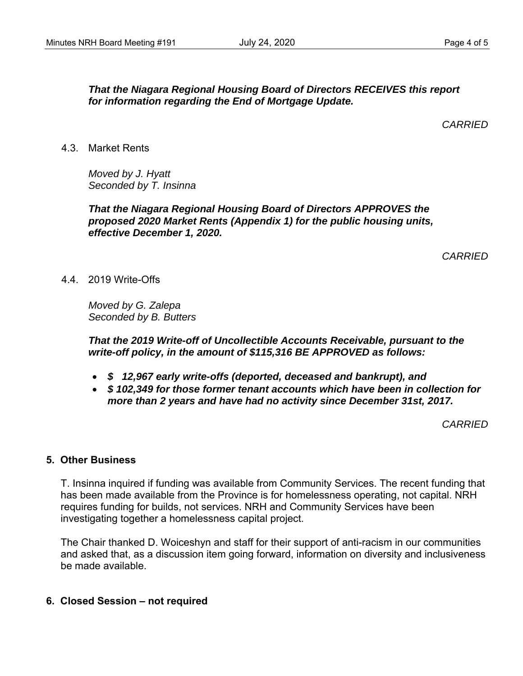### *That the Niagara Regional Housing Board of Directors RECEIVES this report for information regarding the End of Mortgage Update.*

*CARRIED* 

4.3. Market Rents

*Moved by J. Hyatt Seconded by T. Insinna* 

*That the Niagara Regional Housing Board of Directors APPROVES the proposed 2020 Market Rents (Appendix 1) for the public housing units, effective December 1, 2020.* 

*CARRIED* 

#### 4.4. 2019 Write-Offs

*Moved by G. Zalepa Seconded by B. Butters* 

*That the 2019 Write-off of Uncollectible Accounts Receivable, pursuant to the write-off policy, in the amount of \$115,316 BE APPROVED as follows:* 

- *\$ 12,967 early write-offs (deported, deceased and bankrupt), and*
- *\$ 102,349 for those former tenant accounts which have been in collection for more than 2 years and have had no activity since December 31st, 2017.*

*CARRIED* 

#### **5. Other Business**

T. Insinna inquired if funding was available from Community Services. The recent funding that has been made available from the Province is for homelessness operating, not capital. NRH requires funding for builds, not services. NRH and Community Services have been investigating together a homelessness capital project.

The Chair thanked D. Woiceshyn and staff for their support of anti-racism in our communities and asked that, as a discussion item going forward, information on diversity and inclusiveness be made available.

**6. Closed Session – not required**